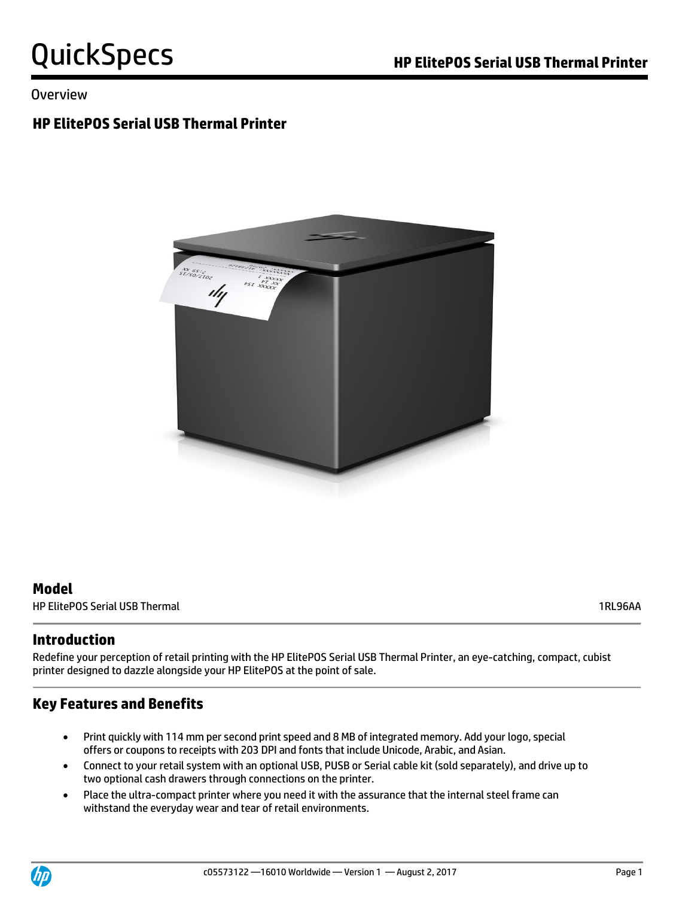### Overview

## **HP ElitePOS Serial USB Thermal Printer**



### **Model**

HP ElitePOS Serial USB Thermal 1RL96AA

### **Introduction**

Redefine your perception of retail printing with the HP ElitePOS Serial USB Thermal Printer, an eye-catching, compact, cubist printer designed to dazzle alongside your HP ElitePOS at the point of sale.

### **Key Features and Benefits**

- Print quickly with 114 mm per second print speed and 8 MB of integrated memory. Add your logo, special offers or coupons to receipts with 203 DPI and fonts that include Unicode, Arabic, and Asian.
- Connect to your retail system with an optional USB, PUSB or Serial cable kit (sold separately), and drive up to two optional cash drawers through connections on the printer.
- Place the ultra-compact printer where you need it with the assurance that the internal steel frame can withstand the everyday wear and tear of retail environments.

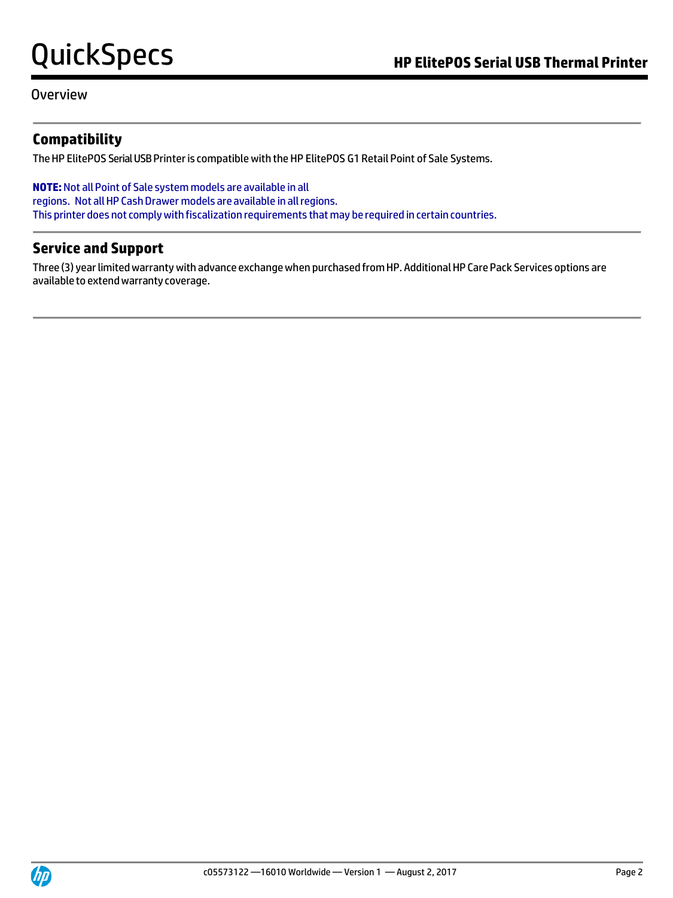Overview

### **Compatibility**

The HP ElitePOS Serial USB Printer is compatible with the HP ElitePOS G1 Retail Point of Sale Systems.

**NOTE:**Not allPoint of Sale system models are available in all regions. Not all HP Cash Drawer models are available in all regions. This printer does not complywith fiscalization requirements that may be required in certain countries.

### **Service and Support**

Three (3) year limited warranty with advance exchange when purchased from HP. Additional HP Care Pack Services options are availableto extendwarranty coverage.

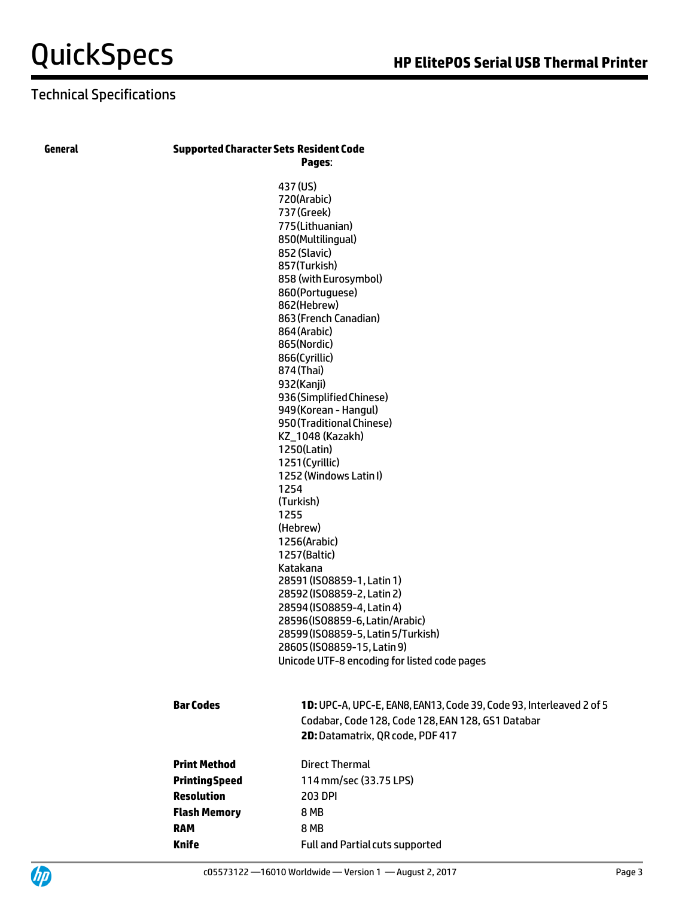## Technical Specifications

### **General SupportedCharacterSets ResidentCode**

**Pages**: 437(US) 720(Arabic) 737(Greek) 775(Lithuanian) 850(Multilingual) 852(Slavic) 857(Turkish) 860(Portuguese) 862(Hebrew) 864(Arabic) 865(Nordic) 866(Cyrillic) 874(Thai) 932(Kanji)

|                  | 857(Turkish)<br>858 (with Eurosymbol)                               |
|------------------|---------------------------------------------------------------------|
|                  | 860(Portuguese)                                                     |
|                  | 862(Hebrew)                                                         |
|                  | 863 (French Canadian)                                               |
|                  | 864 (Arabic)                                                        |
|                  | 865(Nordic)                                                         |
|                  | 866(Cyrillic)                                                       |
|                  | 874 (Thai)                                                          |
|                  | 932(Kanji)                                                          |
|                  | 936 (Simplified Chinese)                                            |
|                  | 949 (Korean - Hangul)                                               |
|                  | 950 (Traditional Chinese)                                           |
|                  | KZ_1048 (Kazakh)                                                    |
|                  | 1250(Latin)                                                         |
|                  | 1251(Cyrillic)                                                      |
|                  | 1252 (Windows Latin I)                                              |
|                  | 1254                                                                |
|                  | (Turkish)                                                           |
|                  | 1255                                                                |
|                  | (Hebrew)                                                            |
|                  | 1256(Arabic)                                                        |
|                  | 1257(Baltic)                                                        |
|                  | Katakana<br>28591 (ISO8859-1, Latin 1)                              |
|                  | 28592 (ISO8859-2, Latin 2)                                          |
|                  | 28594 (ISO8859-4, Latin 4)                                          |
|                  | 28596(ISO8859-6, Latin/Arabic)                                      |
|                  | 28599 (ISO8859-5, Latin 5/Turkish)                                  |
|                  | 28605 (ISO8859-15, Latin 9)                                         |
|                  | Unicode UTF-8 encoding for listed code pages                        |
|                  |                                                                     |
| <b>Bar Codes</b> | 1D: UPC-A, UPC-E, EAN8, EAN13, Code 39, Code 93, Interleaved 2 of 5 |
|                  | Codabar, Code 128, Code 128, EAN 128, GS1 Databar                   |
|                  | 2D: Datamatrix, QR code, PDF 417                                    |
|                  | Detection of the contract of the                                    |

| Print Method   | <b>Direct Thermal</b>                  |  |
|----------------|----------------------------------------|--|
| Printing Speed | 114 mm/sec (33.75 LPS)                 |  |
| Resolution     | 203 DPI                                |  |
| Flash Memory   | 8 MB                                   |  |
| RAM            | <b>8 MB</b>                            |  |
| Knife          | <b>Full and Partial cuts supported</b> |  |
|                |                                        |  |

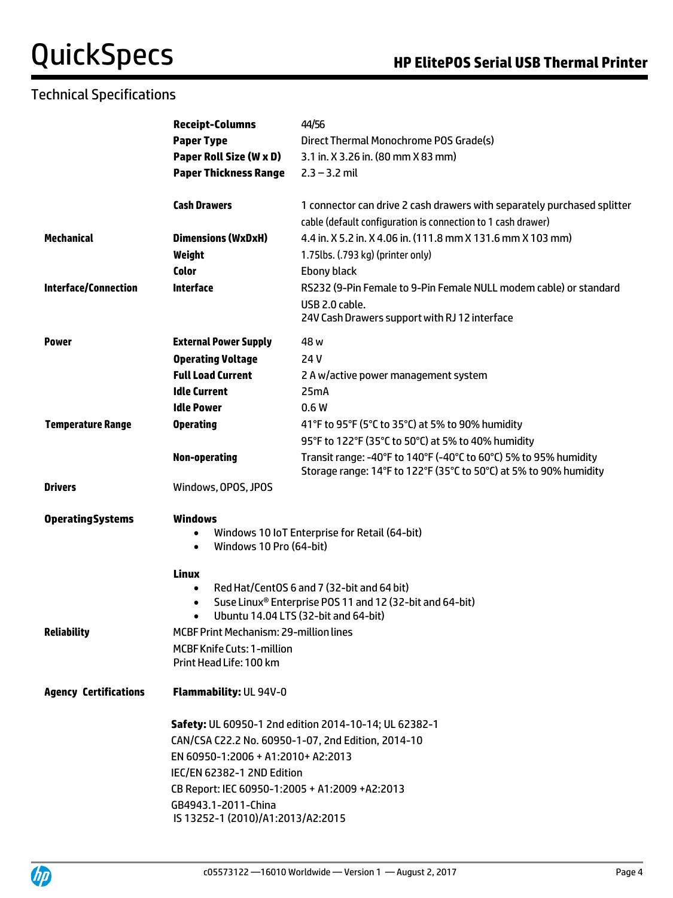## Technical Specifications

|                              | <b>Receipt-Columns</b>                                                                                                                                                   | 44/56                                                                                                                                 |  |  |  |
|------------------------------|--------------------------------------------------------------------------------------------------------------------------------------------------------------------------|---------------------------------------------------------------------------------------------------------------------------------------|--|--|--|
|                              | <b>Paper Type</b>                                                                                                                                                        | Direct Thermal Monochrome POS Grade(s)                                                                                                |  |  |  |
|                              | Paper Roll Size (W x D)                                                                                                                                                  | 3.1 in. X 3.26 in. (80 mm X 83 mm)                                                                                                    |  |  |  |
|                              | <b>Paper Thickness Range</b>                                                                                                                                             | $2.3 - 3.2$ mil                                                                                                                       |  |  |  |
|                              |                                                                                                                                                                          |                                                                                                                                       |  |  |  |
|                              | <b>Cash Drawers</b>                                                                                                                                                      | 1 connector can drive 2 cash drawers with separately purchased splitter                                                               |  |  |  |
|                              |                                                                                                                                                                          | cable (default configuration is connection to 1 cash drawer)                                                                          |  |  |  |
| <b>Mechanical</b>            | <b>Dimensions (WxDxH)</b>                                                                                                                                                | 4.4 in. X 5.2 in. X 4.06 in. (111.8 mm X 131.6 mm X 103 mm)                                                                           |  |  |  |
|                              | Weight                                                                                                                                                                   | 1.75lbs. (.793 kg) (printer only)                                                                                                     |  |  |  |
| <b>Color</b>                 |                                                                                                                                                                          | <b>Ebony black</b>                                                                                                                    |  |  |  |
| <b>Interface/Connection</b>  | <b>Interface</b>                                                                                                                                                         | RS232 (9-Pin Female to 9-Pin Female NULL modem cable) or standard                                                                     |  |  |  |
|                              |                                                                                                                                                                          | USB 2.0 cable.                                                                                                                        |  |  |  |
|                              |                                                                                                                                                                          | 24V Cash Drawers support with RJ 12 interface                                                                                         |  |  |  |
| <b>Power</b>                 | <b>External Power Supply</b>                                                                                                                                             | 48 w                                                                                                                                  |  |  |  |
|                              | <b>Operating Voltage</b>                                                                                                                                                 | 24 V                                                                                                                                  |  |  |  |
|                              | <b>Full Load Current</b>                                                                                                                                                 | 2 A w/active power management system                                                                                                  |  |  |  |
|                              | <b>Idle Current</b>                                                                                                                                                      | 25mA                                                                                                                                  |  |  |  |
|                              | <b>Idle Power</b>                                                                                                                                                        | 0.6W                                                                                                                                  |  |  |  |
| <b>Temperature Range</b>     | <b>Operating</b>                                                                                                                                                         | 41°F to 95°F (5°C to 35°C) at 5% to 90% humidity                                                                                      |  |  |  |
|                              |                                                                                                                                                                          |                                                                                                                                       |  |  |  |
|                              |                                                                                                                                                                          | 95°F to 122°F (35°C to 50°C) at 5% to 40% humidity                                                                                    |  |  |  |
|                              | <b>Non-operating</b>                                                                                                                                                     | Transit range: -40°F to 140°F (-40°C to 60°C) 5% to 95% humidity<br>Storage range: 14°F to 122°F (35°C to 50°C) at 5% to 90% humidity |  |  |  |
| <b>Drivers</b>               | Windows, OPOS, JPOS                                                                                                                                                      |                                                                                                                                       |  |  |  |
|                              |                                                                                                                                                                          |                                                                                                                                       |  |  |  |
| <b>OperatingSystems</b>      | <b>Windows</b><br>Windows 10 IoT Enterprise for Retail (64-bit)<br>$\bullet$<br>Windows 10 Pro (64-bit)<br>$\bullet$                                                     |                                                                                                                                       |  |  |  |
|                              |                                                                                                                                                                          |                                                                                                                                       |  |  |  |
|                              |                                                                                                                                                                          |                                                                                                                                       |  |  |  |
|                              | <b>Linux</b>                                                                                                                                                             |                                                                                                                                       |  |  |  |
|                              | Red Hat/CentOS 6 and 7 (32-bit and 64 bit)<br>$\bullet$<br>Suse Linux® Enterprise POS 11 and 12 (32-bit and 64-bit)<br>Ubuntu 14.04 LTS (32-bit and 64-bit)<br>$\bullet$ |                                                                                                                                       |  |  |  |
|                              |                                                                                                                                                                          |                                                                                                                                       |  |  |  |
|                              |                                                                                                                                                                          |                                                                                                                                       |  |  |  |
| <b>Reliability</b>           | <b>MCBF Print Mechanism: 29-million lines</b>                                                                                                                            |                                                                                                                                       |  |  |  |
|                              | <b>MCBF Knife Cuts: 1-million</b>                                                                                                                                        |                                                                                                                                       |  |  |  |
|                              | Print Head Life: 100 km                                                                                                                                                  |                                                                                                                                       |  |  |  |
| <b>Agency Certifications</b> | Flammability: UL 94V-0                                                                                                                                                   |                                                                                                                                       |  |  |  |
|                              | Safety: UL 60950-1 2nd edition 2014-10-14; UL 62382-1                                                                                                                    |                                                                                                                                       |  |  |  |
|                              |                                                                                                                                                                          | CAN/CSA C22.2 No. 60950-1-07, 2nd Edition, 2014-10                                                                                    |  |  |  |
|                              | EN 60950-1:2006 + A1:2010+ A2:2013<br>IEC/EN 62382-1 2ND Edition<br>CB Report: IEC 60950-1:2005 + A1:2009 +A2:2013                                                       |                                                                                                                                       |  |  |  |
|                              |                                                                                                                                                                          |                                                                                                                                       |  |  |  |
|                              |                                                                                                                                                                          |                                                                                                                                       |  |  |  |
|                              | GB4943.1-2011-China                                                                                                                                                      |                                                                                                                                       |  |  |  |
|                              | IS 13252-1 (2010)/A1:2013/A2:2015                                                                                                                                        |                                                                                                                                       |  |  |  |
|                              |                                                                                                                                                                          |                                                                                                                                       |  |  |  |

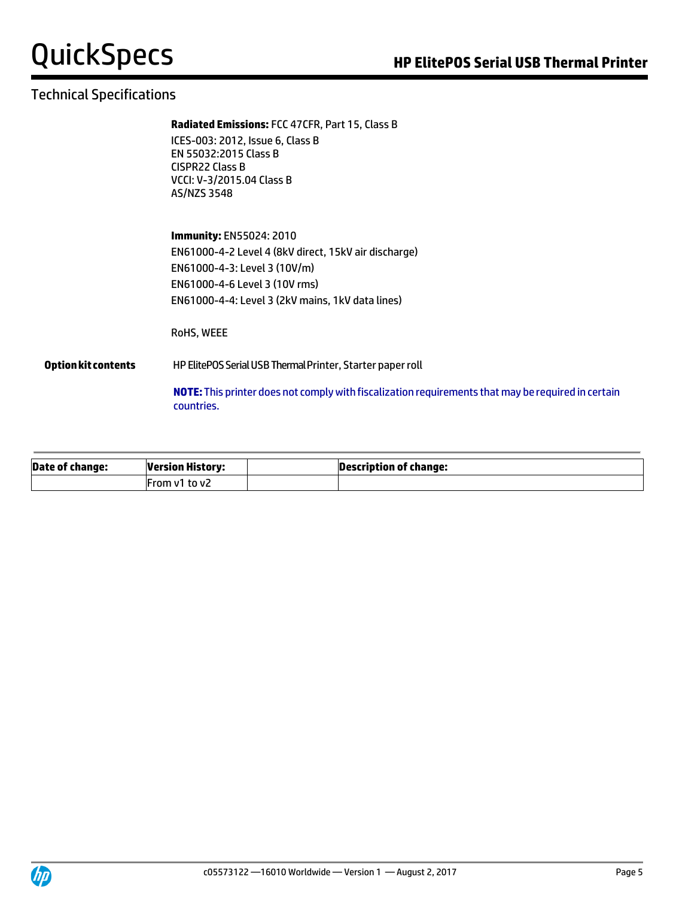## Technical Specifications

#### **Radiated Emissions:** FCC 47CFR, Part 15, Class B

ICES-003: 2012, Issue 6, Class B EN 55032:2015 Class B CISPR22 Class B VCCI: V-3/2015.04 Class B AS/NZS 3548

**Immunity:** EN55024: 2010 EN61000-4-2 Level 4 (8kV direct, 15kV air discharge) EN61000-4-3: Level 3 (10V/m) EN61000-4-6 Level 3 (10V rms) EN61000-4-4: Level 3 (2kV mains, 1kV data lines)

RoHS, WEEE

#### **Option kit contents** HP ElitePOS Serial USB Thermal Printer, Starter paper roll

**NOTE:**This printer does not comply with fiscalization requirements that may be required in certain countries.

| Date of change: | <b>Version History:</b> | Description of change: |
|-----------------|-------------------------|------------------------|
|                 | IFrom v1 to v2          |                        |